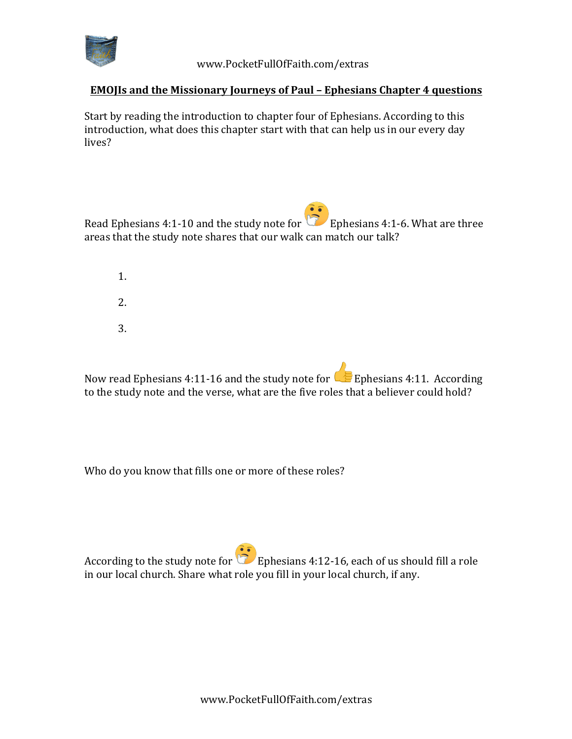

## **EMOJIs and the Missionary Journeys of Paul - Ephesians Chapter 4 questions**

Start by reading the introduction to chapter four of Ephesians. According to this introduction, what does this chapter start with that can help us in our every day lives?

Read Ephesians 4:1-10 and the study note for Ephesians 4:1-6. What are three areas that the study note shares that our walk can match our talk?

1. 2. 3.

Now read Ephesians 4:11-16 and the study note for  $\mathbb{C}$  Ephesians 4:11. According to the study note and the verse, what are the five roles that a believer could hold?

Who do you know that fills one or more of these roles?

According to the study note for **E**phesians 4:12-16, each of us should fill a role in our local church. Share what role you fill in your local church, if any.